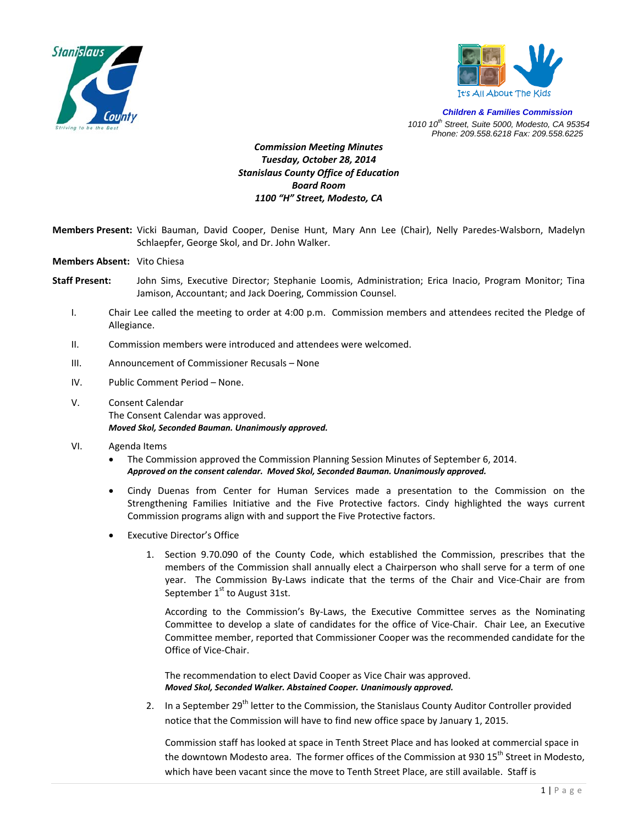



*Children & Families Commission 1010 10th Street, Suite 5000, Modesto, CA 95354 Phone: 209.558.6218 Fax: 209.558.6225*

## *Commission Meeting Minutes Tuesday, October 28, 2014 Stanislaus County Office of Education Board Room 1100 "H" Street, Modesto, CA*

- **Members Present:** Vicki Bauman, David Cooper, Denise Hunt, Mary Ann Lee (Chair), Nelly Paredes‐Walsborn, Madelyn Schlaepfer, George Skol, and Dr. John Walker.
- **Members Absent:** Vito Chiesa
- **Staff Present:** John Sims, Executive Director; Stephanie Loomis, Administration; Erica Inacio, Program Monitor; Tina Jamison, Accountant; and Jack Doering, Commission Counsel.
	- I. Chair Lee called the meeting to order at 4:00 p.m. Commission members and attendees recited the Pledge of Allegiance.
	- II. Commission members were introduced and attendees were welcomed.
	- III. Announcement of Commissioner Recusals None
	- IV. Public Comment Period None.
	- V. Consent Calendar The Consent Calendar was approved. *Moved Skol, Seconded Bauman. Unanimously approved.*
	- VI. Agenda Items
		- The Commission approved the Commission Planning Session Minutes of September 6, 2014. *Approved on the consent calendar. Moved Skol, Seconded Bauman. Unanimously approved.*
		- Cindy Duenas from Center for Human Services made a presentation to the Commission on the Strengthening Families Initiative and the Five Protective factors. Cindy highlighted the ways current Commission programs align with and support the Five Protective factors.
		- **Executive Director's Office** 
			- 1. Section 9.70.090 of the County Code, which established the Commission, prescribes that the members of the Commission shall annually elect a Chairperson who shall serve for a term of one year. The Commission By-Laws indicate that the terms of the Chair and Vice-Chair are from September  $1<sup>st</sup>$  to August 31st.

According to the Commission's By‐Laws, the Executive Committee serves as the Nominating Committee to develop a slate of candidates for the office of Vice‐Chair. Chair Lee, an Executive Committee member, reported that Commissioner Cooper was the recommended candidate for the Office of Vice‐Chair.

The recommendation to elect David Cooper as Vice Chair was approved. *Moved Skol, Seconded Walker. Abstained Cooper. Unanimously approved.* 

2. In a September 29<sup>th</sup> letter to the Commission, the Stanislaus County Auditor Controller provided notice that the Commission will have to find new office space by January 1, 2015.

Commission staff has looked at space in Tenth Street Place and has looked at commercial space in the downtown Modesto area. The former offices of the Commission at 930 15<sup>th</sup> Street in Modesto. which have been vacant since the move to Tenth Street Place, are still available. Staff is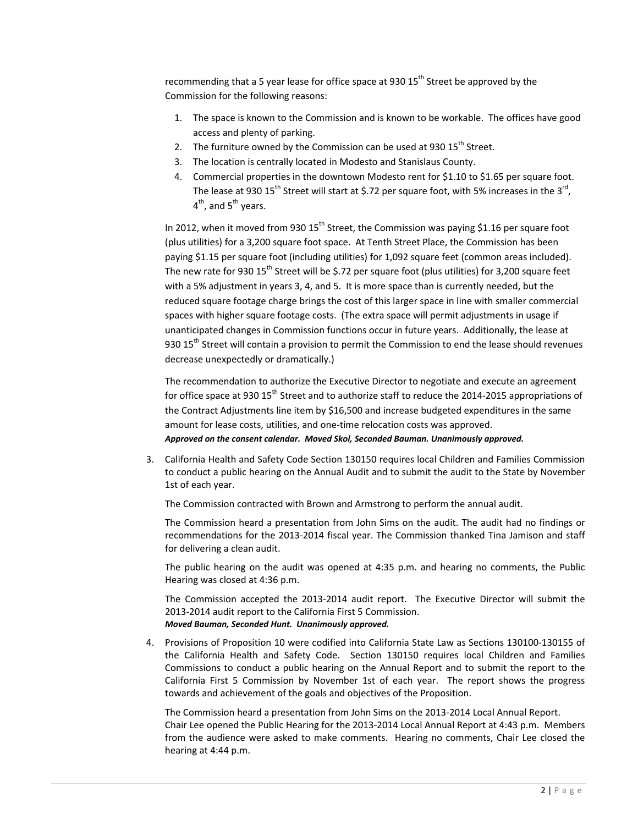recommending that a 5 year lease for office space at 930  $15<sup>th</sup>$  Street be approved by the Commission for the following reasons:

- 1. The space is known to the Commission and is known to be workable. The offices have good access and plenty of parking.
- 2. The furniture owned by the Commission can be used at 930  $15<sup>th</sup>$  Street.
- 3. The location is centrally located in Modesto and Stanislaus County.
- 4. Commercial properties in the downtown Modesto rent for \$1.10 to \$1.65 per square foot. The lease at 930  $15^{th}$  Street will start at \$.72 per square foot, with 5% increases in the 3<sup>rd</sup>,  $4<sup>th</sup>$ , and  $5<sup>th</sup>$  years.

In 2012, when it moved from 930  $15<sup>th</sup>$  Street, the Commission was paying \$1.16 per square foot (plus utilities) for a 3,200 square foot space. At Tenth Street Place, the Commission has been paying \$1.15 per square foot (including utilities) for 1,092 square feet (common areas included). The new rate for 930  $15^{th}$  Street will be \$.72 per square foot (plus utilities) for 3,200 square feet with a 5% adjustment in years 3, 4, and 5. It is more space than is currently needed, but the reduced square footage charge brings the cost of this larger space in line with smaller commercial spaces with higher square footage costs. (The extra space will permit adjustments in usage if unanticipated changes in Commission functions occur in future years. Additionally, the lease at 930 15<sup>th</sup> Street will contain a provision to permit the Commission to end the lease should revenues decrease unexpectedly or dramatically.)

The recommendation to authorize the Executive Director to negotiate and execute an agreement for office space at 930 15<sup>th</sup> Street and to authorize staff to reduce the 2014-2015 appropriations of the Contract Adjustments line item by \$16,500 and increase budgeted expenditures in the same amount for lease costs, utilities, and one‐time relocation costs was approved.

*Approved on the consent calendar. Moved Skol, Seconded Bauman. Unanimously approved.*

3. California Health and Safety Code Section 130150 requires local Children and Families Commission to conduct a public hearing on the Annual Audit and to submit the audit to the State by November 1st of each year.

The Commission contracted with Brown and Armstrong to perform the annual audit.

The Commission heard a presentation from John Sims on the audit. The audit had no findings or recommendations for the 2013‐2014 fiscal year. The Commission thanked Tina Jamison and staff for delivering a clean audit.

The public hearing on the audit was opened at 4:35 p.m. and hearing no comments, the Public Hearing was closed at 4:36 p.m.

The Commission accepted the 2013-2014 audit report. The Executive Director will submit the 2013‐2014 audit report to the California First 5 Commission. *Moved Bauman, Seconded Hunt. Unanimously approved.* 

4. Provisions of Proposition 10 were codified into California State Law as Sections 130100‐130155 of the California Health and Safety Code. Section 130150 requires local Children and Families Commissions to conduct a public hearing on the Annual Report and to submit the report to the California First 5 Commission by November 1st of each year. The report shows the progress towards and achievement of the goals and objectives of the Proposition.

The Commission heard a presentation from John Sims on the 2013‐2014 Local Annual Report. Chair Lee opened the Public Hearing for the 2013‐2014 Local Annual Report at 4:43 p.m. Members from the audience were asked to make comments. Hearing no comments, Chair Lee closed the hearing at 4:44 p.m.